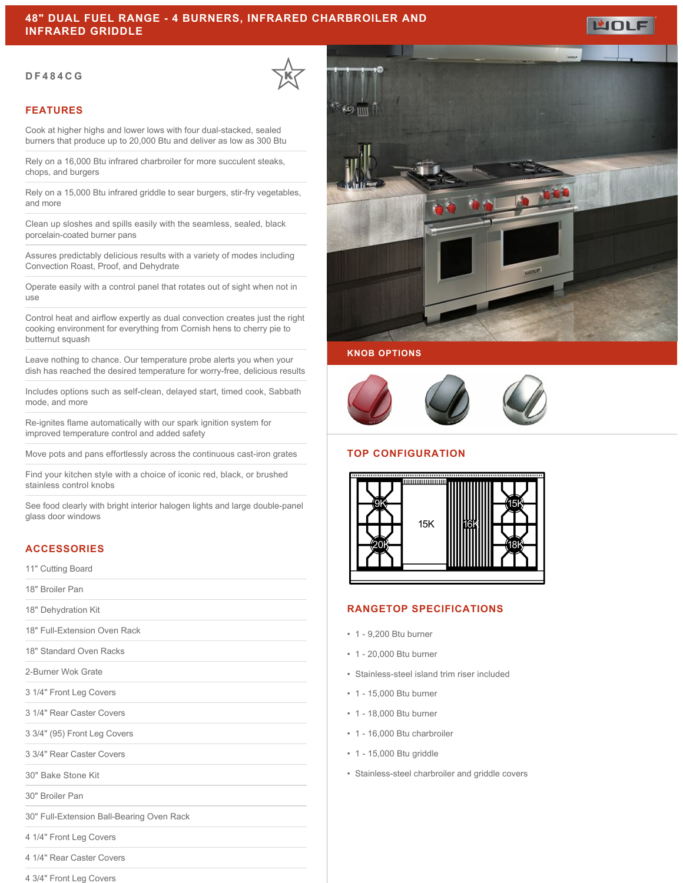# **48" DUAL FUEL RANGE - 4 BURNERS, INFRARED CHARBROILER AND INFRARED GRIDDLE**

#### **DF484CG**

### **FEATURES**

Cook at higher highs and lower lows with four dual-stacked, sealed burners that produce up to 20,000 Btu and deliver as low as 300 Btu

Rely on a 16,000 Btu infrared charbroiler for more succulent steaks, chops, and burgers

Rely on a 15,000 Btu infrared griddle to sear burgers, stir-fry vegetables, and more

Clean up sloshes and spills easily with the seamless, sealed, black porcelain-coated burner pans

Assures predictably delicious results with a variety of modes including Convection Roast, Proof, and Dehydrate

Operate easily with a control panel that rotates out of sight when not in use

Control heat and airflow expertly as dual convection creates just the right cooking environment for everything from Cornish hens to cherry pie to butternut squash

Leave nothing to chance. Our temperature probe alerts you when your dish has reached the desired temperature for worry-free, delicious results

Includes options such as self-clean, delayed start, timed cook, Sabbath mode, and more

Re-ignites flame automatically with our spark ignition system for improved temperature control and added safety

Move pots and pans effortlessly across the continuous cast-iron grates

Find your kitchen style with a choice of iconic red, black, or brushed stainless control knobs

See food clearly with bright interior halogen lights and large double-panel glass door windows

## **ACCESSORIES**

11" Cutting Board

18" Broiler Pan

18" Dehydration Kit

18" Full-Extension Oven Rack

18" Standard Oven Racks

2-Burner Wok Grate

3 1/4" Front Leg Covers

3 1/4" Rear Caster Covers

3 3/4" (95) Front Leg Covers

- 
- 3 3/4" Rear Caster Covers

30" Bake Stone Kit

30" Broiler Pan

30" Full-Extension Ball-Bearing Oven Rack

4 1/4" Front Leg Covers

4 1/4" Rear Caster Covers

4 3/4" Front Leg Covers







# **TOP CONFIGURATION**



## **RANGETOP SPECIFICATIONS**

- 1 9,200 Btu burner
- 1 20,000 Btu burner
- Stainless-steel island trim riser included
- 1 15,000 Btu burner
- 1 18,000 Btu burner
- 1 16,000 Btu charbroiler
- 1 15,000 Btu griddle
- Stainless-steel charbroiler and griddle covers

WOLF

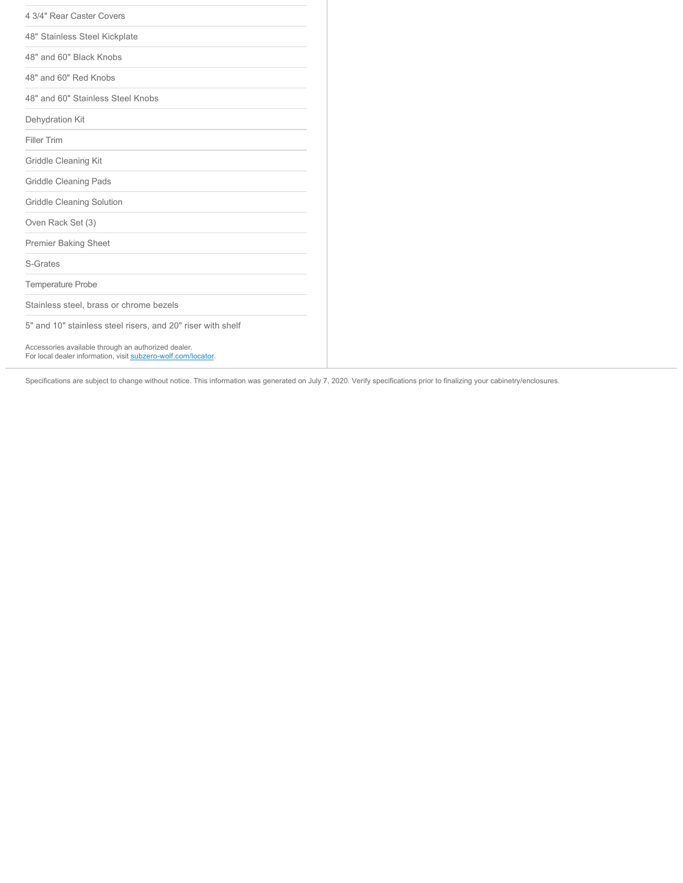| 4 3/4" Rear Caster Covers                                                                                            |
|----------------------------------------------------------------------------------------------------------------------|
| 48" Stainless Steel Kickplate                                                                                        |
| 48" and 60" Black Knobs                                                                                              |
| 48" and 60" Red Knobs                                                                                                |
| 48" and 60" Stainless Steel Knobs                                                                                    |
| Dehydration Kit                                                                                                      |
| <b>Filler Trim</b>                                                                                                   |
| Griddle Cleaning Kit                                                                                                 |
| <b>Griddle Cleaning Pads</b>                                                                                         |
| Griddle Cleaning Solution                                                                                            |
| Oven Rack Set (3)                                                                                                    |
| <b>Premier Baking Sheet</b>                                                                                          |
| <b>S-Grates</b>                                                                                                      |
| <b>Temperature Probe</b>                                                                                             |
| Stainless steel, brass or chrome bezels                                                                              |
| 5" and 10" stainless steel risers, and 20" riser with shelf                                                          |
| Accessories available through an authorized dealer.<br>For local dealer information, visit subzero-wolf.com/locator. |

Specifications are subject to change without notice. This information was generated on July 7, 2020. Verify specifications prior to finalizing your cabinetry/enclosures.